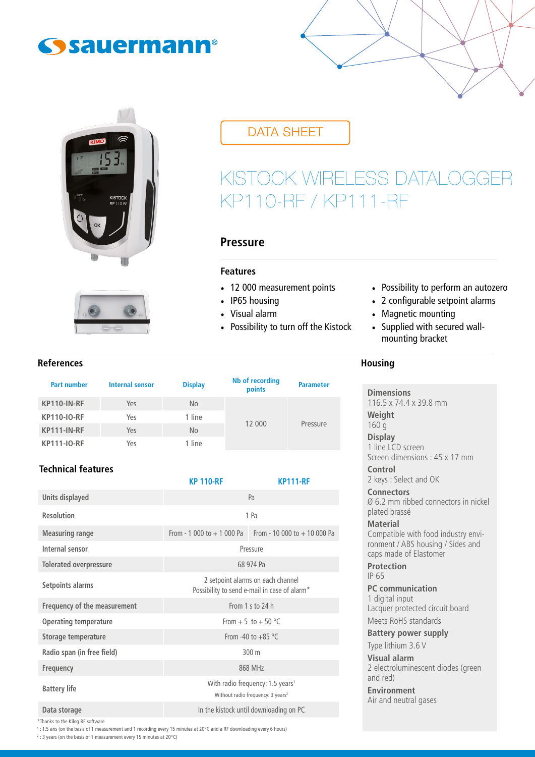## **Sauermann®**





## DATA SHEET

# KISTOCK WIRELESS DATALOGGER KP110-RF / KP111-RF

**Housing**

## **Pressure**

## **Features**

- 12 000 measurement points
- IP65 housing
- Visual alarm
- Possibility to turn off the Kistock

## • Possibility to perform an autozero

- 2 configurable setpoint alarms
- Magnetic mounting
- Supplied with secured wallmounting bracket

#### **References**

| <b>Part number</b> | <b>Internal sensor</b> | <b>Display</b> | Nb of recording<br>points | <b>Parameter</b> |
|--------------------|------------------------|----------------|---------------------------|------------------|
| KP110-IN-RF        | Yes                    | No             |                           | Pressure         |
| <b>KP110-IO-RF</b> | Yes                    | 1 line         |                           |                  |
| KP111-IN-RF        | Yes                    | No             | 12 000                    |                  |
| <b>KP111-IO-RF</b> | Yes                    | 1 line         |                           |                  |

## **Technical features**

|                               | <b>KP 110-RF</b>                                                                              | <b>KP111-RF</b> |  |
|-------------------------------|-----------------------------------------------------------------------------------------------|-----------------|--|
| Units displayed               | Pa                                                                                            |                 |  |
| <b>Resolution</b>             | 1 Pa                                                                                          |                 |  |
| <b>Measuring range</b>        | From - 1 000 to + 1 000 Pa From - 10 000 to + 10 000 Pa                                       |                 |  |
| Internal sensor               | Pressure                                                                                      |                 |  |
| <b>Tolerated overpressure</b> | 68 974 Pa                                                                                     |                 |  |
| Setpoints alarms              | 2 setpoint alarms on each channel<br>Possibility to send e-mail in case of alarm*             |                 |  |
| Frequency of the measurement  | From 1 s to 24 h                                                                              |                 |  |
| <b>Operating temperature</b>  | From + 5 to + 50 °C                                                                           |                 |  |
| Storage temperature           | From -40 to $+85$ °C                                                                          |                 |  |
| Radio span (in free field)    | 300 m                                                                                         |                 |  |
| <b>Frequency</b>              | 868 MHz                                                                                       |                 |  |
| <b>Battery life</b>           | With radio frequency: 1.5 years <sup>1</sup><br>Without radio frequency: 3 years <sup>2</sup> |                 |  |
| Data storage                  | In the kistock until downloading on PC                                                        |                 |  |

### **Dimensions** 116.5 x 74.4 x 39.8 mm **Weight** 160 g **Display** 1 line LCD screen Screen dimensions : 45 x 17 mm **Control** 2 keys : Select and OK **Connectors** Ø 6.2 mm ribbed connectors in nickel plated brassé **Material** Compatible with food industry environment / ABS housing / Sides and caps made of Elastomer **Protection** IP 65 **PC communication** 1 digital input Lacquer protected circuit board Meets RoHS standards **Battery power supply** Type lithium 3.6 V **Visual alarm** 2 electroluminescent diodes (green

and red) **Environment**

Air and neutral gases

\*Thanks to the Kilog RF software

1 : 1.5 ans (on the basis of 1 measurement and 1 recording every 15 minutes at 20°C and a RF downloading every 6 hours)

2 : 3 years (on the basis of 1 measurement every 15 minutes at 20°C)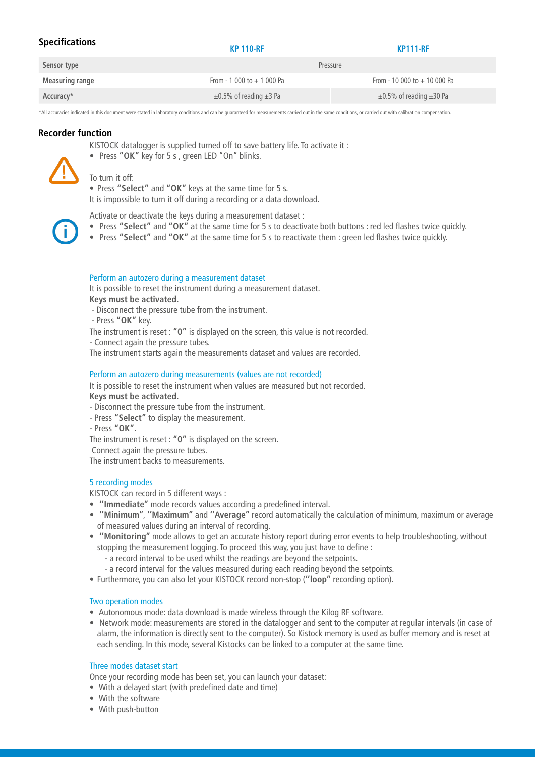| <b>Specifications</b>  | <b>KP 110-RF</b>                  | <b>KP111-RF</b>                    |  |
|------------------------|-----------------------------------|------------------------------------|--|
| Sensor type            | Pressure                          |                                    |  |
| <b>Measuring range</b> | From - 1 000 to $+$ 1 000 Pa      | From - 10 000 to $+$ 10 000 Pa     |  |
| Accuracy*              | $\pm 0.5\%$ of reading $\pm 3$ Pa | $\pm 0.5\%$ of reading $\pm 30$ Pa |  |

\*All accuracies indicated in this document were stated in laboratory conditions and can be guaranteed for measurements carried out in the same conditions, or carried out with calibration compensation.

#### **Recorder function**

KISTOCK datalogger is supplied turned off to save battery life. To activate it :

• Press **"OK"** key for 5 s , green LED "On" blinks.

#### To turn it off:

• Press **"Select"** and **"OK"** keys at the same time for 5 s. It is impossible to turn it off during a recording or a data download.

Activate or deactivate the keys during a measurement dataset :

- Press **"Select"** and **"OK"** at the same time for 5 s to deactivate both buttons : red led flashes twice quickly.
- Press **"Select"** and **"OK"** at the same time for 5 s to reactivate them : green led flashes twice quickly.

#### Perform an autozero during a measurement dataset

It is possible to reset the instrument during a measurement dataset. **Keys must be activated.**

- Disconnect the pressure tube from the instrument.
- Press **"OK"** key.

The instrument is reset : **"0"** is displayed on the screen, this value is not recorded.

- Connect again the pressure tubes.

The instrument starts again the measurements dataset and values are recorded.

#### Perform an autozero during measurements (values are not recorded)

It is possible to reset the instrument when values are measured but not recorded. **Keys must be activated.**

- Disconnect the pressure tube from the instrument.
- Press **"Select"** to display the measurement.
- Press **"OK"**.

The instrument is reset : **"0"** is displayed on the screen.

Connect again the pressure tubes.

The instrument backs to measurements.

#### 5 recording modes

KISTOCK can record in 5 different ways :

- **''Immediate''** mode records values according a predefined interval.
- **''Minimum''**, **''Maximum''** and **''Average''** record automatically the calculation of minimum, maximum or average of measured values during an interval of recording.
- **''Monitoring''** mode allows to get an accurate history report during error events to help troubleshooting, without stopping the measurement logging. To proceed this way, you just have to define :
	- a record interval to be used whilst the readings are beyond the setpoints.
	- a record interval for the values measured during each reading beyond the setpoints.
- Furthermore, you can also let your KISTOCK record non-stop (**''loop''** recording option).

#### Two operation modes

- Autonomous mode: data download is made wireless through the Kilog RF software.
- Network mode: measurements are stored in the datalogger and sent to the computer at regular intervals (in case of alarm, the information is directly sent to the computer). So Kistock memory is used as buffer memory and is reset at each sending. In this mode, several Kistocks can be linked to a computer at the same time.

#### Three modes dataset start

Once your recording mode has been set, you can launch your dataset:

- With a delayed start (with predefined date and time)
- With the software
- With push-button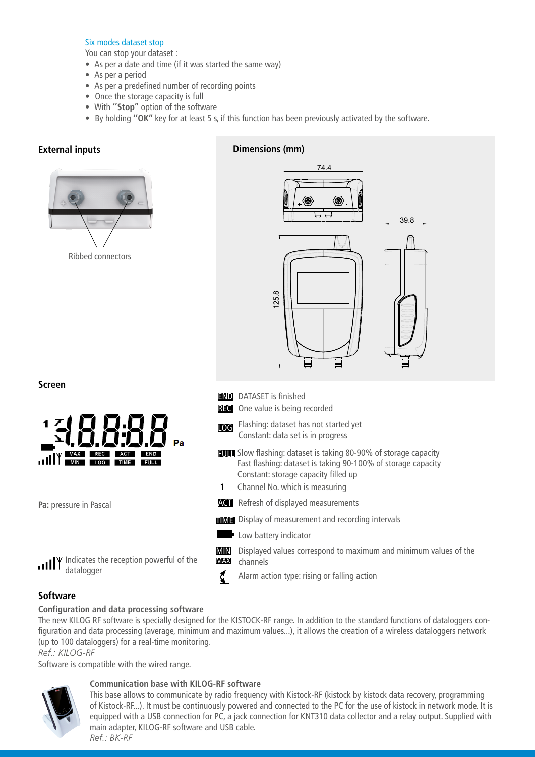### Six modes dataset stop

You can stop your dataset :

- As per a date and time (if it was started the same way)
- As per a period
- As per a predefined number of recording points
- Once the storage capacity is full
- With **''Stop''** option of the software
- By holding **''OK''** key for at least 5 s, if this function has been previously activated by the software.

## **External inputs**



## **Dimensions (mm)**



**Screen**



**Pa:** pressure in Pascal

I<sup>V</sup> Indicates the reception powerful of the пI datalogger

**END** DATASET is finished

**REC** One value is being recorded

- **LOG** Flashing: dataset has not started yet Constant: data set is in progress
- **FUIL** Slow flashing: dataset is taking 80-90% of storage capacity Fast flashing: dataset is taking 90-100% of storage capacity Constant: storage capacity filled up
- Channel No. which is measuring **1**
- **ACT** Refresh of displayed measurements
- **TIME** Display of measurement and recording intervals
- **Low battery indicator**

₹

- Displayed values correspond to maximum and minimum values of the channels MIN MAX
	- Alarm action type: rising or falling action

## **Software**

#### **Configuration and data processing software**

The new KILOG RF software is specially designed for the KISTOCK-RF range. In addition to the standard functions of dataloggers configuration and data processing (average, minimum and maximum values...), it allows the creation of a wireless dataloggers network (up to 100 dataloggers) for a real-time monitoring.

*Ref.: KILOG-RF*

Software is compatible with the wired range.



## **Communication base with KILOG-RF software**

This base allows to communicate by radio frequency with Kistock-RF (kistock by kistock data recovery, programming of Kistock-RF...). It must be continuously powered and connected to the PC for the use of kistock in network mode. It is equipped with a USB connection for PC, a jack connection for KNT310 data collector and a relay output. Supplied with main adapter, KILOG-RF software and USB cable. *Ref.: BK-RF*